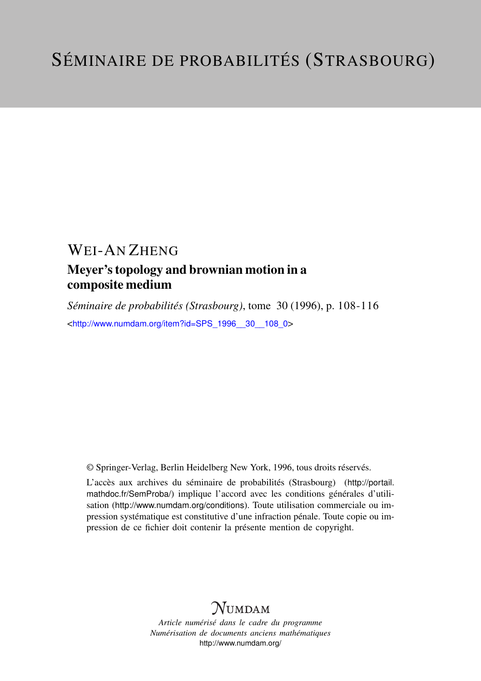## WEI-AN ZHENG

### Meyer's topology and brownian motion in a composite medium

*Séminaire de probabilités (Strasbourg)*, tome 30 (1996), p. 108-116 <[http://www.numdam.org/item?id=SPS\\_1996\\_\\_30\\_\\_108\\_0](http://www.numdam.org/item?id=SPS_1996__30__108_0)>

© Springer-Verlag, Berlin Heidelberg New York, 1996, tous droits réservés.

L'accès aux archives du séminaire de probabilités (Strasbourg) ([http://portail.](http://portail.mathdoc.fr/SemProba/) [mathdoc.fr/SemProba/](http://portail.mathdoc.fr/SemProba/)) implique l'accord avec les conditions générales d'utilisation (<http://www.numdam.org/conditions>). Toute utilisation commerciale ou impression systématique est constitutive d'une infraction pénale. Toute copie ou impression de ce fichier doit contenir la présente mention de copyright.

# **NUMDAM**

*Article numérisé dans le cadre du programme Numérisation de documents anciens mathématiques* <http://www.numdam.org/>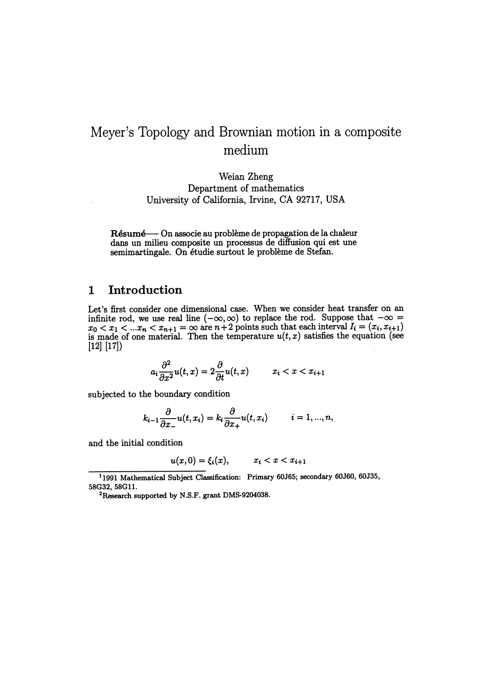### Meyer's Topology and Brownian motion in a composite medium

Weian Zheng Department of mathematics . University of California, Irvine, CA 92717, USA

Résumé —- On associe au problème de propagation de la chaleur dans un milieu composite un processus de diffusion qui est une semimartingale. On étudie surtout le probleme de Stefan.

#### 1 Introduction

Let's first consider one dimensional case. When we consider heat transfer on an infinite rod, we use real line  $(-\infty, \infty)$  to replace the rod. Suppose that  $-\infty =$  $x_0 < x_1 < ... x_n < x_{n+1} = \infty$  are  $n+2$  points such that each interval  $I_i = (x_i, x_{i+1})$ is made of one material. Then the temperature  $u(t, x)$  satisfies the equation (see [12] [17])

$$
a_i \frac{\partial^2}{\partial x^2} u(t, x) = 2 \frac{\partial}{\partial t} u(t, x) \qquad x_i < x < x_{i+1}
$$

subjected to the boundary condition

$$
k_{i-1}\frac{\partial}{\partial x_{-}}u(t,x_i)=k_i\frac{\partial}{\partial x_{+}}u(t,x_i) \qquad i=1,...,n,
$$

and the initial condition

$$
u(x,0)=\xi_i(x),\qquad x_i
$$

<sup>11991</sup> Mathematical Subject Classification: Primary 60J65; secondary 60J60, 60J35, 58G32, 58G11.

<sup>2</sup>Research supported by N.S.F. grant DMS-9204038.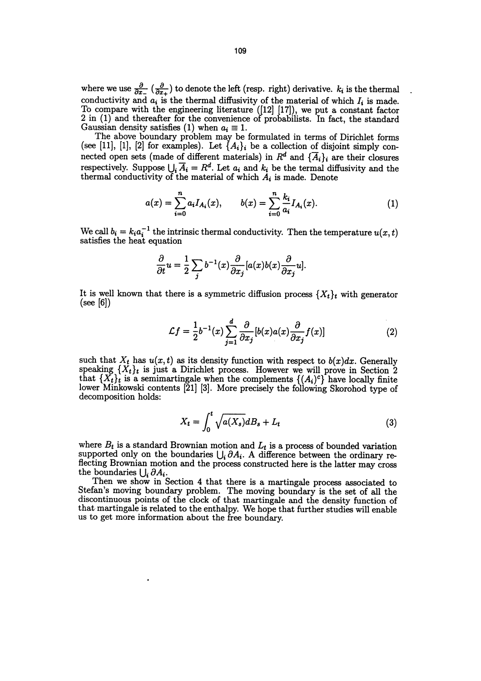where we use  $\frac{\partial}{\partial x_+}$  ( $\frac{\partial}{\partial x_+}$ ) to denote the left (resp. right) derivative.  $k_i$  is the thermal conductivity and  $a_i$  is the thermal diffusivity of the material of which  $I_i$  is made. To compare with the engineering literature ([12] [17]), we put a constant factor 2 in (1) and thereafter for the convenience of probabilists. In fact, the standard Gaussian density satisfies (1) when  $a_i \equiv 1$ .

The above boundary problem may be formulated in terms of Dirichlet forms (see [11], [1], [2] for examples). Let  $\{A_i\}_i$  be a collection of disjoint simply connected open sets (made of different materials) in  $R^d$  and  $\{\overline{A}_i\}_i$  are their closures respectively. Suppose  $\bigcup_i \overline{A}_i = R^d$ . Let  $a_i$  and  $k_i$  be the termal diffusivity and the thermal conductivity of the material of which  $A_i$  is made. Denote

$$
a(x) = \sum_{i=0}^{n} a_i I_{A_i}(x), \qquad b(x) = \sum_{i=0}^{n} \frac{k_i}{a_i} I_{A_i}(x). \tag{1}
$$

We call  $b_i = k_i a_i^{-1}$  the intrinsic thermal conductivity. Then the temperature  $u(x, t)$  satisfies the heat equation

$$
\frac{\partial}{\partial t}u = \frac{1}{2}\sum_{i} b^{-1}(x)\frac{\partial}{\partial x_j}[a(x)b(x)\frac{\partial}{\partial x_j}u].
$$

It is well known that there is a symmetric diffusion process  $\{X_t\}_t$  with generator (see [6])

$$
\mathcal{L}f = \frac{1}{2}b^{-1}(x)\sum_{j=1}^{d} \frac{\partial}{\partial x_j} [b(x)a(x)\frac{\partial}{\partial x_j}f(x)] \tag{2}
$$

such that  $X_t$  has  $u(x, t)$  as its density function with respect to  $b(x)dx$ . Generally speaking  $\{X_t\}_t$  is just a Dirichlet process. However we will prove in Section 2 that  $\{X_t\}_t$  is a semimartingale when the complements  $\{(A_i)^c\}$  have locally finite lower Minkowski contents [21] [3]. More precisely the following Skorohod type of decomposition holds:

$$
X_t = \int_0^t \sqrt{a(X_s)} dB_s + L_t \tag{3}
$$

where  $B_t$  is a standard Brownian motion and  $L_t$  is a process of bounded variation supported only on the boundaries  $\bigcup_i \partial A_i$ . A difference between the ordinary reflecting Brownian motion and the process constructed here is the latter may cross the boundaries  $\bigcup_i$ 

Then we show in Section 4 that there is a martingale process associated to Stefan's moving boundary problem. The moving boundary is the set of all the discontinuous points of the clock of that martingale and the density function of that martingale is related to the enthalpy. We hope that further studies will enable us to get more information about the free boundary.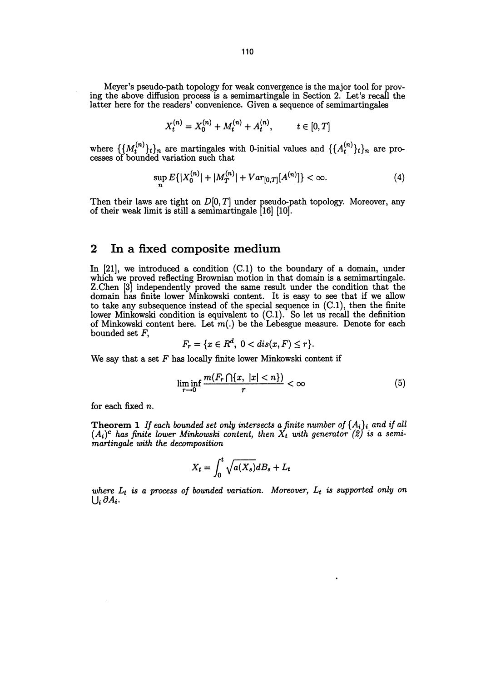Meyer's pseudo-path topology for weak convergence is the major tool for proving the above diffusion process is a semimartingale in Section 2. Let's recall the latter here for the readers' convenience. Given a sequence of semimartingales

$$
X_t^{(n)} = X_0^{(n)} + M_t^{(n)} + A_t^{(n)}, \qquad t \in [0, T]
$$

where  $\{\{M_t^{(n)}\}_t\}_n$  are martingales with 0-initial values and  $\{\{A_t^{(n)}\}_t\}_n$  are processes of bounded variation such that

$$
\sup_{n} E\{|X_0^{(n)}| + |M_T^{(n)}| + Var_{[0,T]}[A^{(n)}]\} < \infty.
$$
 (4)

Then their laws are tight on  $D[0,T]$  under pseudo-path topology. Moreover, any of their weak limit is still a semimartingale [16] [10].

#### 2 In a fixed composite medium

In  $[21]$ , we introduced a condition  $(C.1)$  to the boundary of a domain, under which we proved reflecting Brownian motion in that domain is a semimartingale. which we proved reflecting Brownian motion in that domain is a semimartingale. Z.Chen [3] independently proved the same result under the condition that the domain has finite lower Minkowski content. It is easy to see that if we allow to take any subsequence instead of the special sequence in (C.1), then the finite lower Minkowski condition is equivalent to (C.1). So let us recall the definition of Minkowski content here. Let  $m(.)$  be the Lebesgue measure. Denote for each bounded set F,

$$
F_r = \{x \in R^d, \ 0 < dis(x, F) \le r\}.
$$

We say that a set  $F$  has locally finite lower Minkowski content if

$$
\liminf_{r \to 0} \frac{m(F_r \cap \{x, \ |x| < n\})}{r} < \infty \tag{5}
$$

for each fixed n.

**Theorem 1** If each bounded set only intersects a finite number of  $\{A_i\}_i$  and if all  $(A_i)^c$  has finite lower Minkowski content, then  $X_t$  with generator (2) is a semimartingale with the decomposition

$$
X_t = \int_0^t \sqrt{a(X_s)} dB_s + L_t
$$

where  $L_t$  is a process of bounded variation. Moreover,  $L_t$  is supported only on  $\bigcup_i \partial A_i$ .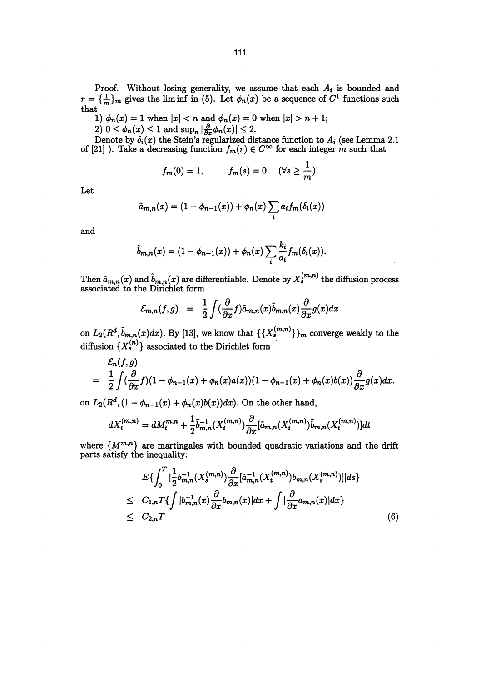Proof. Without losing generality, we assume that each  $A_i$  is bounded and  $r = {\frac{1}{m}}_m$  gives the lim inf in (5). Let  $\phi_n(x)$  be a sequence of  $C^1$  functions such that

that<br>
1)  $\phi_n(x) = 1$  when  $|x| < n$  and  $\phi_n(x) = 0$  when  $|x| > n + 1$ ;

2)  $0 \leq \phi_n(x) \leq 1$  and  $\sup_n |\frac{\partial}{\partial x} \phi_n(x)| \leq 2$ .

Denote by  $\delta_i(x)$  the Stein's regularized distance function to  $A_i$  (see Lemma 2.1 of [21] ). Take a decreasing function  $f_m(r) \in C^{\infty}$  for each integer m such that

$$
f_m(0) = 1, \qquad f_m(s) = 0 \quad (\forall s \geq \frac{1}{m}).
$$

Let

$$
\tilde{a}_{m,n}(x) = (1 - \phi_{n-1}(x)) + \phi_n(x) \sum_i a_i f_m(\delta_i(x))
$$

and

$$
\tilde{b}_{m,n}(x)=(1-\phi_{n-1}(x))+\phi_n(x)\sum_i\frac{k_i}{a_i}f_m(\delta_i(x)).
$$

Then  $\tilde{a}_{m,n}(x)$  and  $\tilde{b}_{m,n}(x)$  are differentiable. Denote by  $X_s^{(m,n)}$  the diffusion process associated to the Dirichlet form

$$
\mathcal{E}_{m,n}(f,g) = \frac{1}{2} \int (\frac{\partial}{\partial x} f) \tilde{a}_{m,n}(x) \tilde{b}_{m,n}(x) \frac{\partial}{\partial x} g(x) dx
$$

on  $L_2(R^a, b_{m,n}(x)dx)$ . By [13], we know that  $\{\{X_s^{\langle m, n'\rangle}\}\}_m$  converge weakly to the diffusion  $\{X_s^{(n)}\}$  associated to the Dirichlet form

coiated to the Dirichlet form  
\n
$$
\mathcal{E}_{m,n}(f,g) = \frac{1}{2} \int (\frac{\partial}{\partial x} f) \tilde{a}_{m,n}(x) \tilde{b}_{m,n}(x) \frac{\partial}{\partial x} g(x) dx
$$
\n
$$
L_2(R^d, \tilde{b}_{m,n}(x)dx). By [13], we know that  $\{\{X_s^{(m,n)}\}\}_m$  converge weakly to the  
\nfusion  $\{X_s^{(n)}\}$  associated to the Dirichlet form  
\n
$$
\mathcal{E}_n(f,g)
$$
\n
$$
= \frac{1}{2} \int (\frac{\partial}{\partial x} f)(1 - \phi_{n-1}(x) + \phi_n(x)a(x))(1 - \phi_{n-1}(x) + \phi_n(x)b(x)) \frac{\partial}{\partial x} g(x) dx.
$$
\n
$$
L_2(R^d, (1 - \phi_{n-1}(x) + \phi_n(x)b(x)) dx). On the other hand,
$$
$$

on  $L_2(R^d, (1 - \phi_{n-1}(x) + \phi_n(x)b(x))dx)$ . On the other hand,

$$
dX_t^{(m,n)} = dM_t^{m,n} + \frac{1}{2} \tilde{b}_{m,n}^{-1} (X_t^{(m,n)}) \frac{\partial}{\partial x} [\tilde{a}_{m,n}(X_t^{(m,n)}) \tilde{b}_{m,n}(X_t^{(m,n)})] dt
$$

where  $\{M^{m,n}\}$  are martingales with bounded quadratic variations and the drift parts satisfy the inequality:

$$
E\{\int_0^T |\frac{1}{2} b_{m,n}^{-1}(X_s^{(m,n)}) \frac{\partial}{\partial x} [\tilde{a}_{m,n}^{-1}(X_t^{(m,n)}) b_{m,n}(X_s^{(m,n)})]|ds\}\leq C_{1,n}T\{\int |b_{m,n}^{-1}(x) \frac{\partial}{\partial x} b_{m,n}(x)|dx + \int |\frac{\partial}{\partial x} a_{m,n}(x)|dx\}\leq C_{2,n}T
$$
\n(6)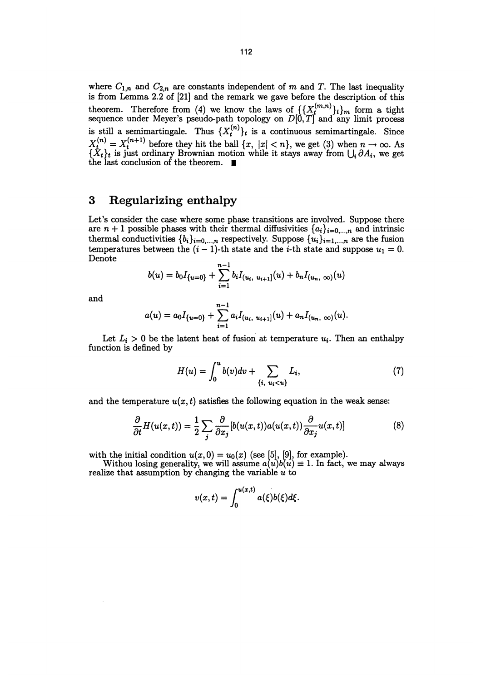where  $C_{1,n}$  and  $C_{2,n}$  are constants independent of m and T. The last inequality is from Lemma 2.2 of [21] and the remark we gave before the description of this theorem. Therefore from (4) we know the laws of  $\{\{X_t^{\{m,n'\}}\}_t\}_m$  form a tight sequence under Meyer's pseudo-path topology on  $D[0, T]$  and any limit process is still a semimartingale. Thus  $\{X_t^{(n)}\}_t$  is a continuous semimartingale. Since  $X_t^{(n)} = X_t^{(n+1)}$  before they hit the ball  $\{x, |x| < n\}$ , we get (3) when  $n \to \infty$ . As  $\{X_t\}_t$  is just ordinary Brownian motion while it stays away from  $\bigcup_i \partial A_i$ , we get the last conclusion of the theorem.

#### 3 Regularizing enthalpy

Let's consider the case where some phase transitions are involved. Suppose there are  $n + 1$  possible phases with their thermal diffusivities  $\{a_i\}_{i=0,\dots,n}$  and intrinsic thermal conductivities  $\{b_i\}_{i=0,\dots,n}$  respectively. Suppose  $\{u_i\}_{i=1,\dots,n}$  are the fusion temperatures between the  $(i-1)$ -th state and the *i*-th state and suppose  $u_1 = 0$ . Denote  $n-1$ 

$$
b(u) = b_0 I_{\{u=0\}} + \sum_{i=1}^{n-1} b_i I_{(u_i, u_{i+1}]}(u) + b_n I_{(u_n, \infty)}(u)
$$

and  

$$
a(u) = a_0 I_{\{u=0\}} + \sum_{i=1}^{n-1} a_i I_{(u_i, u_{i+1}]}(u) + a_n I_{(u_n, \infty)}(u).
$$

Let  $L_i > 0$  be the latent heat of fusion at temperature  $u_i$ . Then an enthalpy function is defined by

$$
H(u) = \int_0^u b(v)dv + \sum_{\{i, u_i < u\}} L_i,\tag{7}
$$

and the temperature  $u(x, t)$  satisfies the following equation in the weak sense:

$$
\frac{\partial}{\partial t}H(u(x,t)) = \frac{1}{2} \sum_{j} \frac{\partial}{\partial x_j} [b(u(x,t))a(u(x,t)) \frac{\partial}{\partial x_j} u(x,t)] \tag{8}
$$

with the initial condition  $u(x,0) = u_0(x)$  (see [5], [9], for example).<br>Withou losing generality, we will assume  $a(u)b(u) \equiv 1$ . In fact, we may always realize that assumption by changing the variable  $u$  to

$$
v(x,t)=\int_0^{u(x,t)}a(\xi)b(\xi)d\xi.
$$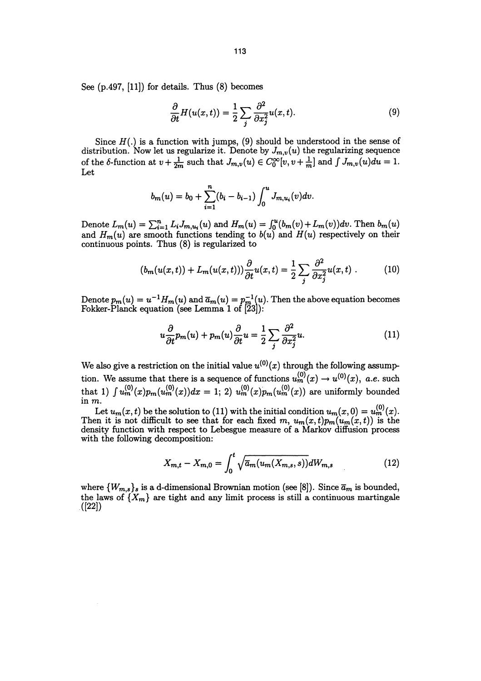See (p.497, [11]) for details. Thus (8) becomes

$$
\frac{\partial}{\partial t}H(u(x,t)) = \frac{1}{2} \sum_{j} \frac{\partial^2}{\partial x_j^2} u(x,t).
$$
\n(9)

Since  $H(.)$  is a function with jumps, (9) should be understood in the sense of distribution. Now let us regularize it. Denote by  $J_{m,\nu}(u)$  the regularizing sequence of the 6-function at  $v + \frac{1}{2m}$  such that  $J_{m,v}(u) \in C_0^{\infty}[v, v + \frac{1}{m}]$  and  $\int J_{m,v}(u)du = 1$ . Let

$$
b_m(u) = b_0 + \sum_{i=1}^n (b_i - b_{i-1}) \int_0^u J_{m,u_i}(v) dv.
$$

Denote  $L_m(u) = \sum_{i=1}^n L_i J_{m,u_i}(u)$  and  $H_m(u) = \int_0^u (b_m(v) + L_m(v)) dv$ . Then  $\partial$ and  $H_m(u)$  are smooth functions tending to  $b(u)$  and  $H(u)$  respectively on their continuous points. Thus (8) is regularized to

$$
(b_m(u(x,t)) + L_m(u(x,t)))\frac{\partial}{\partial t}u(x,t) = \frac{1}{2}\sum_j \frac{\partial^2}{\partial x_j^2}u(x,t) \ . \tag{10}
$$

Denote  $p_m(u) = u^{-1}H_m(u)$  and  $\overline{a}_m(u) = p_m^{-1}(u)$ . Then the above equation becomes Fokker-Planck equation (see Lemma 1 of [23]):

$$
u\frac{\partial}{\partial t}p_m(u) + p_m(u)\frac{\partial}{\partial t}u = \frac{1}{2}\sum_j \frac{\partial^2}{\partial x_j^2}u.
$$
 (11)

We also give a restriction on the initial value  $u^{(0)}(x)$  through the following assumption. We assume that there is a sequence of functions  $u_m^{(0)}(x) \to u^{(0)}(x)$ , a.e. such that 1)  $\int u_m^{(0)}(x) p_m(u_m^{(0)}(x)) dx = 1$ ; 2)  $u_m^{(0)}(x) p_m(u_m^{(0)}(x))$  are uniformly bounded in m.

Let  $u_m(x, t)$  be the solution to (11) with the initial condition  $u_m(x, 0) = v_m(x, 0)$ Then it is not difficult to see that for each fixed  $m, u_m(x, t)p_m(u_m(x, t))$  is the density function with respect to Lebesgue measure of a Markov diffusion process with the following decomposition:

$$
X_{m,t} - X_{m,0} = \int_0^t \sqrt{\overline{a}_m(u_m(X_{m,s}, s))} dW_{m,s}
$$
 (12)

where  $\{W_{m,s}\}_s$  is a d-dimensional Brownian motion (see [8]). Since  $\bar{a}_m$  is bounded, the laws of  $\{X_m\}$  are tight and any limit process is still a continuous martingale  $([22])$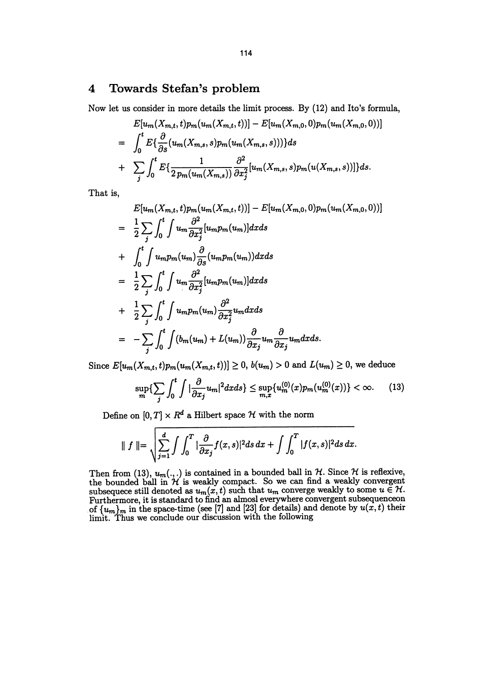#### 4 Towards Stefan's problem

Now let us consider in more details the limit process. By (12) and Ito's formula,

$$
E[u_{m}(X_{m,t},t)p_{m}(u_{m}(X_{m,t},t))] - E[u_{m}(X_{m,0},0)p_{m}(u_{m}(X_{m,0},0))]
$$
  
=  $\int_{0}^{t} E\{\frac{\partial}{\partial s}(u_{m}(X_{m,s},s)p_{m}(u_{m}(X_{m,s},s)))\}ds$   
+  $\sum_{j} \int_{0}^{t} E\{\frac{1}{2p_{m}(u_{m}(X_{m,s}))}\frac{\partial^{2}}{\partial x_{j}^{2}}[u_{m}(X_{m,s},s)p_{m}(u(X_{m,s},s))]\}ds.$ 

That is,

$$
E[u_m(X_{m,t},t)p_m(u_m(X_{m,t},t))] - E[u_m(X_{m,0},0)p_m(u_m(X_{m,0},0))]
$$
\n
$$
= \frac{1}{2} \sum_j \int_0^t \int u_m \frac{\partial^2}{\partial x_j^2} [u_m p_m(u_m)] dx ds
$$
\n
$$
+ \int_0^t \int u_m p_m(u_m) \frac{\partial}{\partial s} (u_m p_m(u_m)) dx ds
$$
\n
$$
= \frac{1}{2} \sum_j \int_0^t \int u_m \frac{\partial^2}{\partial x_j^2} [u_m p_m(u_m)] dx ds
$$
\n
$$
+ \frac{1}{2} \sum_j \int_0^t \int u_m p_m(u_m) \frac{\partial^2}{\partial x_j^2} u_m dx ds
$$
\n
$$
= - \sum_j \int_0^t \int (b_m(u_m) + L(u_m)) \frac{\partial}{\partial x_j} u_m \frac{\partial}{\partial x_j} u_m dx ds.
$$

Since  $E[u_m(X_{m,t}, t)p_m(u_m(X_{m,t}, t))] \ge 0, b(u_m) > 0$  and  $L(u_m) \ge 0$ , we deduce

$$
\sup_{m}\left\{\sum_{j}\int_{0}^{t}\int|\frac{\partial}{\partial x_{j}}u_{m}|^{2}dxds\right\}\leq \sup_{m,x}\{u_{m}^{(0)}(x)p_{m}(u_{m}^{(0)}(x))\}<\infty.
$$
 (13)

Define on  $[0,T]\times R^d$  a Hilbert space  ${\mathcal H}$  with the norm

$$
\| f \| = \sqrt{\sum_{j=1}^d \int \int_0^T |\frac{\partial}{\partial x_j} f(x,s)|^2 ds} \, dx + \int \int_0^T |f(x,s)|^2 ds \, dx.
$$

Then from (13),  $u_m(\cdot, \cdot)$  is contained in a bounded ball in H. Since H is reflexive the bounded ball in  $\mathcal H$  is weakly compact. So we can find a weakly convergent subsequece still denoted as  $u_m(x, t)$  such that  $u_m$  converge weakly to some  $u \in \mathcal{H}$ . Furthermore, it is standard to find an almosl everywhere convergent subsequenceon of  $\{u_m\}_m$  in the space-time (see [7] and [23] for details) and denote by  $u(x, t)$  their limit. Thus we conclude our discussion with the following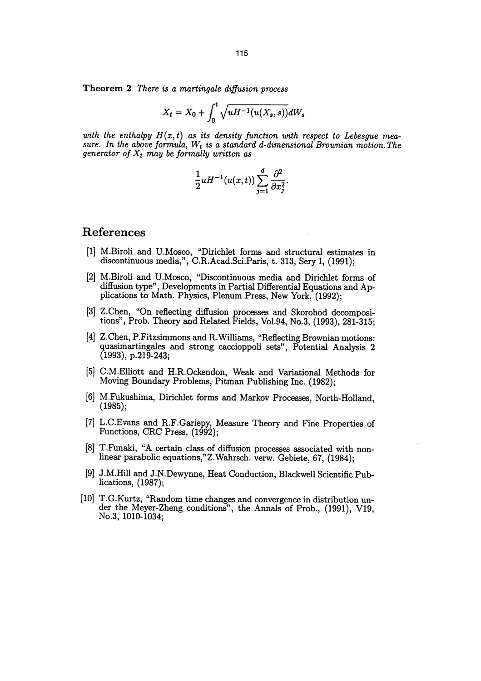Theorem 2 There is a martingale diffusion process

$$
X_t=X_0+\int_0^t\sqrt{uH^{-1}(u(X_s,s))}dW_s
$$

with the enthalpy  $H(x,t)$  as its density function with respect to Lebesgue measure. In the above formula,  $W_t$  is a standard d-dimensional Brownian motion. The generator of  $X_t$  may be formally written as

$$
\frac{1}{2}uH^{-1}(u(x,t))\sum_{j=1}^d\frac{\partial^2}{\partial x_j^2}.
$$

#### References

- [1] M.Biroli and U.Mosco, "Dirichlet forms and structural estimates in discontinuous media,", C.R.Acad.Sci.Paris, t. 313, Sery I, (1991);
- [2] M.Biroli and U.Mosco, "Discontinuous media and Dirichlet forms of plications to Math. Physics, Plenum Press, New York, (1992);
- [3] Z.Chen, "On reflecting diffusion processes and Skorohod decomposi- tions", Prob. Theory and Related Fields, Vol.94, No.3, (1993), 281-315;
- [4] Z.Chen, P.Fitzsimmons and R.Williams, "Reflecting Brownian motions: quasimartingales and strong caccioppoli sets", Potential Analysis 2 (1993), p.219-243;
- [5] C.M.Elliott and H.R.Ockendon, Weak and Variational Methods for Moving Boundary Problems, Pitman Publishing Inc. (1982);
- [6] M.Fukushima, Dirichlet forms and Markov Processes, North-Holland, (1985);
- [7] L.C.Evans and R.F.Gariepy, Measure Theory and Fine Properties of Functions, CRC Press, (1992);
- [8] T.Funaki, "A certain class of diffusion processes associated with nonlinear parabolic equations," Z.Wahrsch. verw. Gebiete, 67, (1984);
- [9] J.M.Hill and J.N.Dewynne, Heat Conduction, Blackwell Scientific Publications, (1987);
- [10] T.G.Kurtz, "Random time changes and convergence in distribution under the Meyer-Zheng conditions", the Annals of Prob., (1991), V19, No.3, 1010-1034;